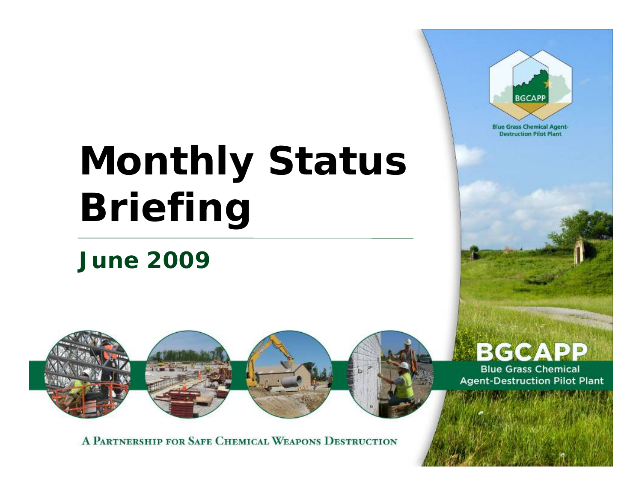# **Monthly Status Briefing**

# *June 2009*



A PARTNERSHIP FOR SAFE CHEMICAL WEAPONS DESTRUCTION



**Blue Grass Chemical Agent-Destruction Pilot Plant**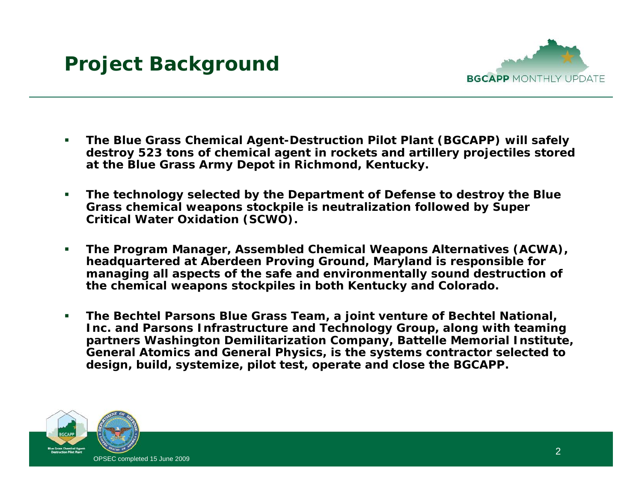

- $\mathcal{L}_{\mathcal{A}}$  **The Blue Grass Chemical Agent-Destruction Pilot Plant (BGCAPP) will safely destroy 523 tons of chemical agent in rockets and artillery projectiles stored at the Blue Grass Army Depot in Richmond, Kentucky.**
- $\mathcal{L}_{\mathcal{A}}$  **The technology selected by the Department of Defense to destroy the Blue Grass chemical weapons stockpile is neutralization followed by Super Critical Water Oxidation (SCWO).**
- $\blacksquare$  **The Program Manager, Assembled Chemical Weapons Alternatives (ACWA), headquartered at Aberdeen Proving Ground, Maryland is responsible for managing all aspects of the safe and environmentally sound destruction of the chemical weapons stockpiles in both Kentucky and Colorado.**
- $\mathcal{L}_{\mathcal{A}}$  **The Bechtel Parsons Blue Grass Team, a joint venture of Bechtel National, Inc. and Parsons Infrastructure and Technology Group, along with teaming partners Washington Demilitarization Company, Battelle Memorial Institute, General Atomics and General Physics, is the systems contractor selected to design, build, systemize, pilot test, operate and close the BGCAPP.**

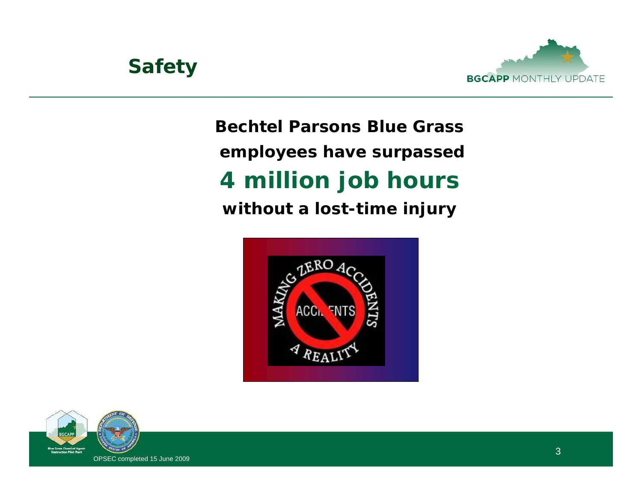

# **Bechtel Parsons Blue Grass employees have surpassed 4 million job hours without a lost-time injury**



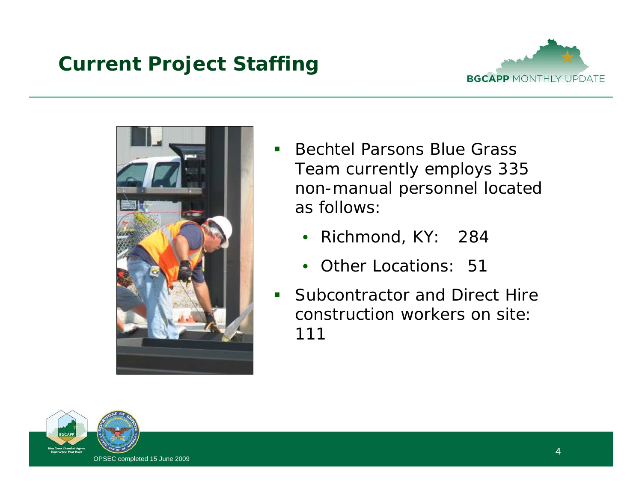# **Current Project Staffing**





- $\blacksquare$  Bechtel Parsons Blue Grass Team currently employs 335 non-manual personnel located as follows:
	- Richmond, KY: 284
	- Other Locations: 51
- $\mathbf{L}$  Subcontractor and Direct Hire construction workers on site: 111

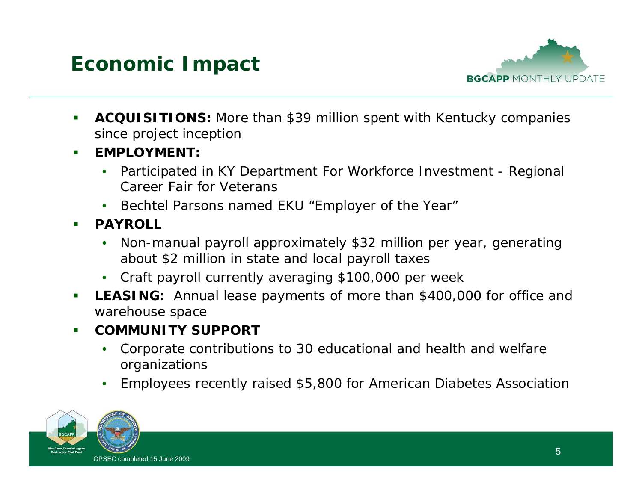



- $\mathcal{L}_{\mathcal{A}}$  **ACQUISITIONS:** More than \$39 million spent with Kentucky companies since project inception
- **EMPLOYMENT:**
	- • Participated in KY Department For Workforce Investment - Regional Career Fair for Veterans
	- Bechtel Parsons named EKU "Employer of the Year"
- $\blacksquare$  **PAYROLL**
	- • Non-manual payroll approximately \$32 million per year, generating about \$2 million in state and local payroll taxes
	- Craft payroll currently averaging \$100,000 per week
- $\mathcal{L}_{\mathcal{A}}$  **LEASING:** Annual lease payments of more than \$400,000 for office and warehouse space
- $\blacksquare$  **COMMUNITY SUPPORT**
	- • Corporate contributions to 30 educational and health and welfare organizations
	- •Employees recently raised \$5,800 for American Diabetes Association

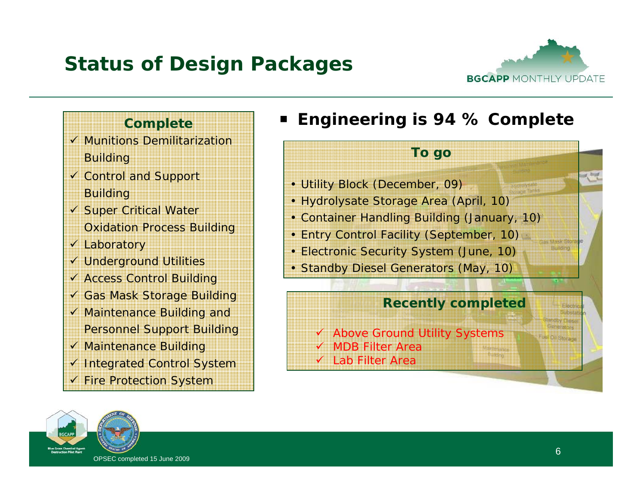# **Status of Design Packages**



### **Complete**

- $\checkmark$  Munitions Demilitarization **Building**
- ✔ Control and Support Building
- ✔ Super Critical Water Oxidation Process Building
- v Laboratory
- ✔ Underground Utilities
- ✔ Access Control Building
- ✔ Gas Mask Storage Building
- ✔ Maintenance Building and
- Personnel Support Building
- ✔ Maintenance Building
- ✔ Integrated Control System
- ✔ Fire Protection System

#### **Si Engineering is 94 % Complete**

#### **To go**

• Utility Block (December, 09)

- Hydrolysate Storage Area (April, 10)
- Container Handling Building (January, 10)
- Entry Control Facility (September, 10)
- Electronic Security System (June, 10)
- Standby Diesel Generators (May, 10)

#### **Recently completed**

✔ Above Ground Utility Systems  $\checkmark$  MDB Filter Area  $\checkmark$  Lab Filter Area

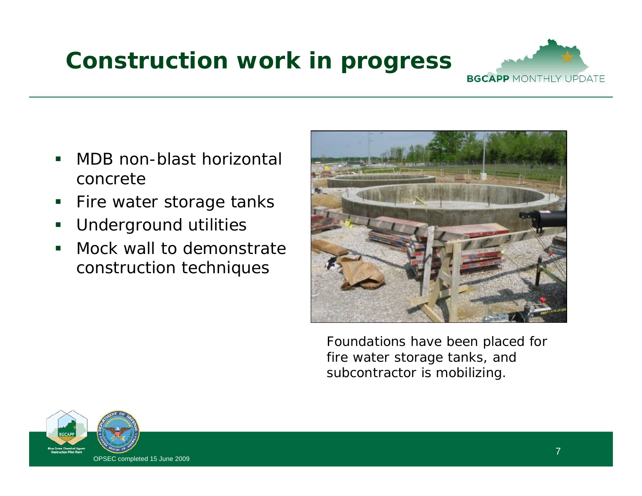# **Construction work in progress**



- $\Box$  MDB non-blast horizontal concrete
- $\overline{\phantom{a}}$ Fire water storage tanks
- $\blacksquare$ Underground utilities
- $\blacksquare$  Mock wall to demonstrate construction techniques



Foundations have been placed for fire water storage tanks, and subcontractor is mobilizing.

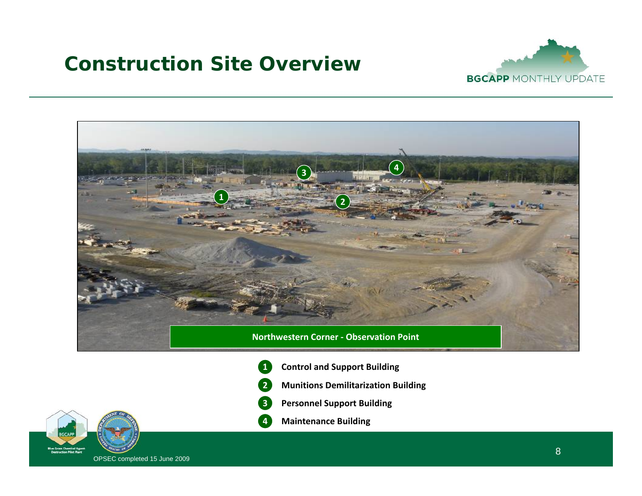### **Construction Site Overview**





- **1 Control and Support Building**
- **2Munitions Demilitarization Building**
- **3Personnel Support Building**



**4Maintenance Building**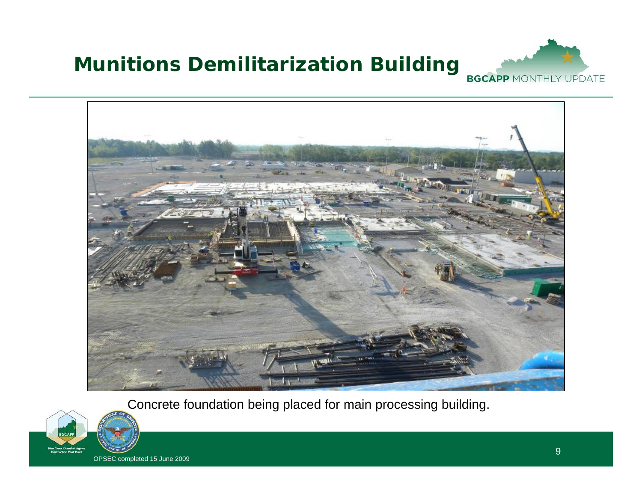# **Munitions Demilitarization Building Bundaler MONTHLY UPDATE**





Concrete foundation being placed for main processing building.

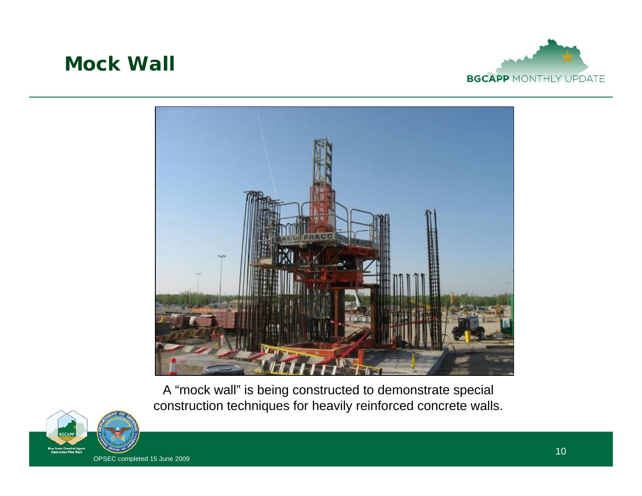### **Mock Wall**





A "mock wall" is being constructed to demonstrate special construction techniques for heavily reinforced concrete walls.

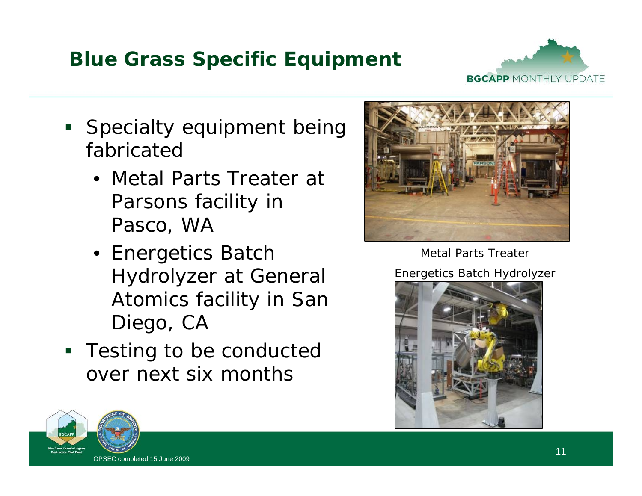## **Blue Grass Specific Equipment**



- **Specialty equipment being** fabricated
	- Metal Parts Treater at Parsons facility in Pasco, WA
	- Energetics Batch Hydrolyzer at General Atomics facility in San Diego, CA
- **Testing to be conducted** over next six months



Metal Parts Treater

Energetics Batch Hydrolyzer



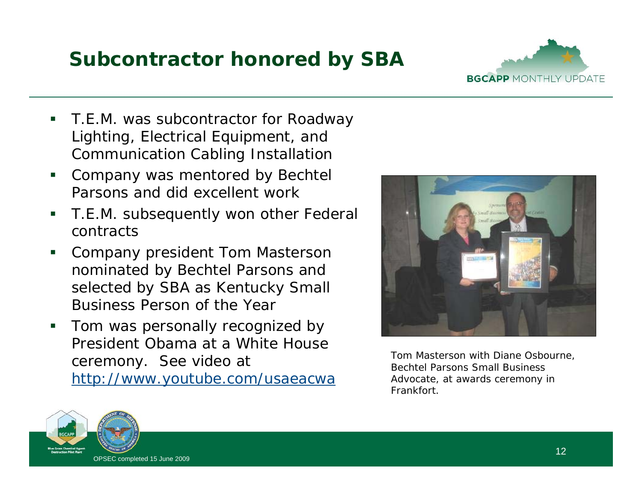# **Subcontractor honored by SBA**



- П T.E.M. was subcontractor for Roadway Lighting, Electrical Equipment, and Communication Cabling Installation
- П Company was mentored by Bechtel Parsons and did excellent work
- П T.E.M. subsequently won other Federal contracts
- П Company president Tom Masterson nominated by Bechtel Parsons and selected by SBA as Kentucky Small Business Person of the Year
- П Tom was personally recognized by President Obama at a White House ceremony. See video at http://www.youtube.com/usaeacwa



Tom Masterson with Diane Osbourne, Bechtel Parsons Small Business Advocate, at awards ceremony in Frankfort.

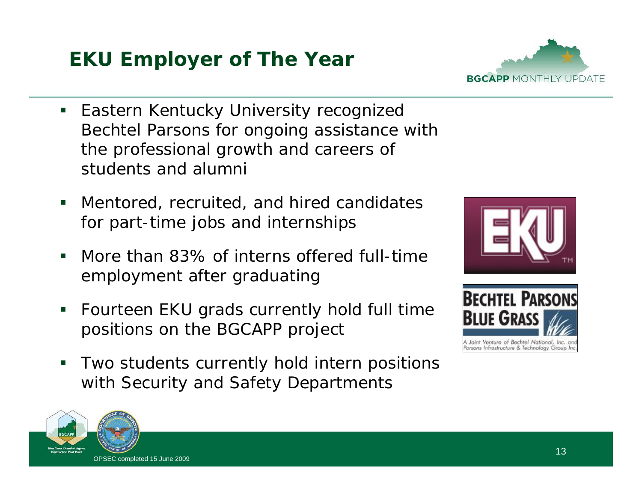# **EKU Employer of The Year**

- $\blacksquare$  Eastern Kentucky University recognized Bechtel Parsons for ongoing assistance with the professional growth and careers of students and alumni
- $\mathcal{L}_{\mathcal{A}}$  Mentored, recruited, and hired candidates for part-time jobs and internships
- $\blacksquare$  More than 83% of interns offered full-time employment after graduating
- $\mathcal{L}_{\mathcal{A}}$  Fourteen EKU grads currently hold full time positions on the BGCAPP project
- $\mathcal{L}_{\mathcal{A}}$  Two students currently hold intern positions with Security and Safety Departments